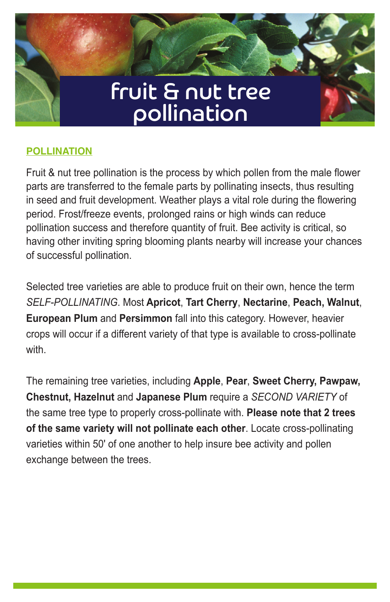

# **POLLINATION**

Fruit & nut tree pollination is the process by which pollen from the male flower parts are transferred to the female parts by pollinating insects, thus resulting in seed and fruit development. Weather plays a vital role during the flowering period. Frost/freeze events, prolonged rains or high winds can reduce pollination success and therefore quantity of fruit. Bee activity is critical, so having other inviting spring blooming plants nearby will increase your chances of successful pollination.

Selected tree varieties are able to produce fruit on their own, hence the term *SELF-POLLINATING*. Most **Apricot**, **Tart Cherry**, **Nectarine**, **Peach, Walnut**, **European Plum** and **Persimmon** fall into this category. However, heavier crops will occur if a different variety of that type is available to cross-pollinate with.

The remaining tree varieties, including **Apple**, **Pear**, **Sweet Cherry, Pawpaw, Chestnut, Hazelnut** and **Japanese Plum** require a *SECOND VARIETY* of the same tree type to properly cross-pollinate with. **Please note that 2 trees of the same variety will not pollinate each other**. Locate cross-pollinating varieties within 50' of one another to help insure bee activity and pollen exchange between the trees.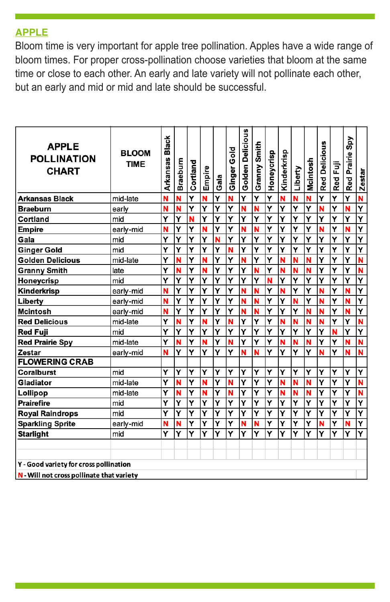#### **APPLE**

Bloom time is very important for apple tree pollination. Apples have a wide range of bloom times. For proper cross-pollination choose varieties that bloom at the same time or close to each other. An early and late variety will not pollinate each other, but an early and mid or mid and late should be successful.

| <b>APPLE</b><br><b>POLLINATION</b><br><b>CHART</b> | <b>BLOOM</b><br><b>TIME</b> | Black<br><b>Arkansas</b> | Braeburn | Cortland | Empire | Gala                    | Ginger Gold | Golden Delicious | Granny Smith | Honeycrisp              | Kinderkrisp | Liberty | Mcintosh | <b>Red Delicious</b>    | Red Fuji                | Spy<br><b>Red Prairie</b> | <b>Zestar</b>           |
|----------------------------------------------------|-----------------------------|--------------------------|----------|----------|--------|-------------------------|-------------|------------------|--------------|-------------------------|-------------|---------|----------|-------------------------|-------------------------|---------------------------|-------------------------|
| <b>Arkansas Black</b>                              | mid-late                    | N                        | N        | Ÿ        | Ñ      | Y                       | N           | Ý                | Ý            | $\overline{\mathbf{Y}}$ | N           | Ñ       | Ñ        | Ý                       | $\overline{\mathbf{Y}}$ | Ý                         | Ñ                       |
| <b>Braeburn</b>                                    | early                       | N                        | N        | Y        | Ý      | Y                       | Y           | N                | N            | Y                       | Y           | Υ       | Y        | N                       | Ý                       | N                         | Y                       |
| Cortland                                           | mid                         | Ý                        | Ý        | N        | Ý      | Ý                       | Ý           | Y                | Ý            | Ý                       | Ý           | Ý       | Ý        | Ý                       | Ý                       | Ý                         | Ý                       |
| <b>Empire</b>                                      | early-mid                   | N                        | Ý        | Ý        | Ñ      | Ý                       | Ý           | N                | Ñ            | Ý                       | Ý           | Ÿ       | Ý        | N                       | Ý                       | N                         | Ý                       |
| Gala                                               | mid                         | Y                        | Y        | Y        | Y      | N                       | Ý           | Y                | Ý            | Y                       | Ý           | Y       | Y        | Y                       | Y                       | Ý                         | Y                       |
| <b>Ginger Gold</b>                                 | mid                         | Ý                        | Ý        | Ý        | Ý      | Ý                       | N           | Ý                | Y            | Y                       | Ý           | Ý       | Ý        | Ý                       | Ý                       | Ý                         | $\overline{\mathbf{Y}}$ |
| <b>Golden Delicious</b>                            | mid-late                    | Ý                        | N        | Ý        | Ñ      | Ý                       | Ý           | Ñ                | Ý            | Ý                       | N           | N       | N        | Ý                       | Ý                       | Ý                         | Ñ                       |
| <b>Granny Smith</b>                                | late                        | Y                        | N        | Ý        | N      | Ý                       | Ý           | Y                | Ñ            | Y                       | N           | N       | N        | Ý                       | Ý                       | Ý                         | Ñ                       |
| Honeycrisp                                         | mid                         | Y                        | Y        | Y        | Ý      | Ý                       | Ý           | Y                | Ý            | Ñ                       | Y           | Y       | Y        | Y                       | Ý                       | Ý                         | Ý                       |
| Kinderkrisp                                        | early-mid                   | N                        | Ý        | Y        | Ý      | Ý                       | Y           | N                | Ñ            | Y                       | N           | Ý       | Ý        | Ñ                       | Ý                       | N                         | Y                       |
| Liberty                                            | early-mid                   | N                        | Ý        | Ý        | Ý      | Ý                       | Y           | N                | N            | Y                       | Ý           | Ñ       | Ý        | N                       | Ý                       | N                         | Y                       |
| <b>Mcintosh</b>                                    | early-mid                   | N                        | Ý        | Ý        | Ý      | Ý                       | Ý           | N                | Ñ            | Ý                       | Ý           | Y       | Ñ        | N                       | Ý                       | N                         | Ý                       |
| <b>Red Delicious</b>                               | mid-late                    | Ý                        | N        | Ý        | Ñ      | Ý                       | N           | Y                | Y            | Ý                       | N           | N       | N        | N                       | Ý                       | Ý                         | Ñ                       |
| Red Fuji                                           | mid                         | Y                        | Y        | Y        | Y      | Y                       | Y           | Y                | Y            | Y                       | Y           | Y       | Y        | Y                       | N                       | Ý                         | Y                       |
| <b>Red Prairie Spy</b>                             | mid-late                    | Y                        | N        | Y        | N      | Ý                       | N           | Y                | Y            | Y                       | N           | N       | N        | Y                       | Y                       | N                         | N                       |
| Zestar                                             | early-mid                   | N                        | Y        | Υ        | Ý      | Ý                       | Υ           | N                | Ñ            | Ý                       | Ý           | Υ       | Υ        | N                       | Υ                       | N                         | N                       |
| <b>FLOWERING CRAB</b>                              |                             |                          |          |          |        |                         |             |                  |              |                         |             |         |          |                         |                         |                           |                         |
| Coralburst                                         | mid                         | Y                        | Y        | Υ        | Ý      | Y                       | Y           | Y                | Y            | Ý                       | Y           | Υ       | Y        | Ý                       | Υ                       | Ý                         | Y                       |
| Gladiator                                          | mid-late                    | $\overline{\mathbf{Y}}$  | N        | Ý        | Ñ      | $\overline{\mathsf{Y}}$ | N           | Y                | Ÿ            | Ÿ                       | N           | N       | Ñ        | $\overline{\mathsf{Y}}$ | Ÿ                       | Ý                         | Ñ                       |
| Lollipop                                           | mid-late                    | Ý                        | N        | Y        | N      | Ÿ                       | N           | Ý                | Ÿ            | Ý                       | N           | N       | N        | Ÿ                       | Ÿ                       | Ý                         | N                       |
| <b>Prairefire</b>                                  | mid                         | Ý                        | Y        | Ý        | Ý      | Ý                       | Ý           | Ý                | Ý            | Ý                       | Y           | Y       | Ý        | Ý                       | Y                       | Ý                         | Ÿ                       |
| <b>Royal Raindrops</b>                             | mid                         | Y                        | Y        | Ý        | Ý      | Ý                       | Y           | Y                | Υ            | Ý                       | Ý           | Y       | Y        | Ý                       | Ý                       | Ý                         | $\overline{\mathsf{Y}}$ |
| <b>Sparkling Sprite</b>                            | early-mid                   | N                        | N        | Ý        | Ý      | Ý                       | Ý           | N                | N            | Ý                       | Ý           | Y       | Ý        | N                       | Ý                       | N                         | $\overline{\mathsf{Y}}$ |
| <b>Starlight</b>                                   | mid                         | Y                        | Y        | Ý        | Ý      | Ý                       | Y           | Y                | Y            | Ý                       | Ý           | Ý       | Ÿ        | Y                       | Ý                       | Ý                         | $\overline{\mathsf{Y}}$ |
|                                                    |                             |                          |          |          |        |                         |             |                  |              |                         |             |         |          |                         |                         |                           |                         |
|                                                    |                             |                          |          |          |        |                         |             |                  |              |                         |             |         |          |                         |                         |                           |                         |
| Y - Good variety for cross pollination             |                             |                          |          |          |        |                         |             |                  |              |                         |             |         |          |                         |                         |                           |                         |
| N - Will not cross pollinate that variety          |                             |                          |          |          |        |                         |             |                  |              |                         |             |         |          |                         |                         |                           |                         |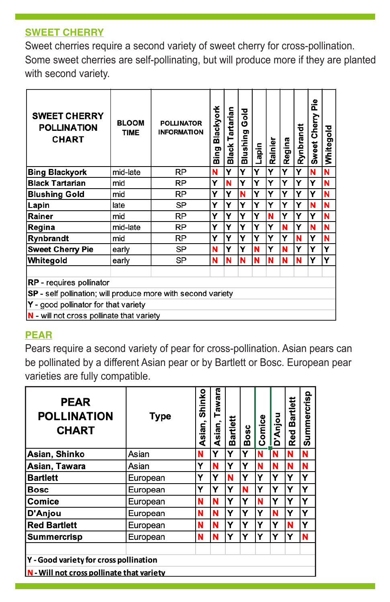## **SWEET CHERRY**

Sweet cherries require a second variety of sweet cherry for cross-pollination. Some sweet cherries are self-pollinating, but will produce more if they are planted with second variety.

| <b>SWEET CHERRY</b><br>POLLINATION<br><b>CHART</b>                  | <b>BLOOM</b><br><b>TIME</b> | <b>POLLINATOR</b><br><b>INFORMATION</b> |   | artarian<br>۳<br>Black <sup>-</sup> | Gold<br>Blushing | Lapin | Rainier | Regina | Rynbrandt | å<br>Sweet Cherry | Whitegold |
|---------------------------------------------------------------------|-----------------------------|-----------------------------------------|---|-------------------------------------|------------------|-------|---------|--------|-----------|-------------------|-----------|
| <b>Bing Blackyork</b>                                               | mid-late                    | <b>RP</b>                               | N | Υ                                   | Υ                | Y     | Y       | Y      | Y         | N                 | N         |
| <b>Black Tartarian</b>                                              | mid                         | RP                                      | Υ | N                                   | Υ                | Υ     | Υ       | Υ      | Υ         | Y                 | N         |
| <b>Blushing Gold</b>                                                | mid                         | RP                                      | Υ | Υ                                   | N                | Υ     | Υ       | Υ      | Υ         | Y                 | N         |
| Lapin                                                               | late                        | SP                                      | Y | Υ                                   | Υ                | Υ     | Υ       | Υ      | Υ         | N                 | N         |
| Rainer                                                              | mid                         | RP                                      | Υ | Y                                   | Y                | Υ     | N       | Y      | Υ         | Υ                 | N         |
| Regina                                                              | mid-late                    | RP                                      | Υ | Υ                                   | Υ                | Y     | Υ       | N      | Y         | N                 | N         |
| Rynbrandt                                                           | mid                         | RP                                      | Υ | Y                                   | Y                | Υ     | Υ       | Y      | N         | Υ                 | N         |
| <b>Sweet Cherry Pie</b>                                             | early                       | SP                                      | N | Υ                                   | Υ                | N     | Υ       | N      | Υ         | Y                 | Y         |
| Whitegold                                                           | early                       | SP                                      | N | N                                   | N                | N     | N       | N      | N         | Υ                 | Υ         |
|                                                                     |                             |                                         |   |                                     |                  |       |         |        |           |                   |           |
| <b>RP</b> - requires pollinator                                     |                             |                                         |   |                                     |                  |       |         |        |           |                   |           |
| <b>SP</b> - self pollination; will produce more with second variety |                             |                                         |   |                                     |                  |       |         |        |           |                   |           |
| $ Y - \text{good pollinator}$ for that variety                      |                             |                                         |   |                                     |                  |       |         |        |           |                   |           |
| <b>N</b> - will not cross pollinate that varietv                    |                             |                                         |   |                                     |                  |       |         |        |           |                   |           |

#### **PEAR**

Pears require a second variety of pear for cross-pollination. Asian pears can be pollinated by a different Asian pear or by Bartlett or Bosc. European pear varieties are fully compatible.

| <b>PEAR</b><br><b>POLLINATION</b><br><b>CHART</b> | <b>Type</b> | Shinko<br>Asian, | Tawara<br>Asian, | artlett<br>m | Bosc | Comice | D'Anjou | Bartlett<br><b>Red</b> | Summercrisp |  |  |
|---------------------------------------------------|-------------|------------------|------------------|--------------|------|--------|---------|------------------------|-------------|--|--|
| Asian, Shinko                                     | Asian       | N                | Υ                | Y            | Υ    | N      | 'N      | N                      | N           |  |  |
| Asian, Tawara                                     | Asian       | Y                | N                | Y            | Y    | N      | N       | N                      | N           |  |  |
| <b>Bartlett</b>                                   | European    | Y                | Υ                | N            | Υ    | Υ      | Υ       | Υ                      | Υ           |  |  |
| <b>Bosc</b>                                       | European    | Υ                | Υ                | Y            | N    | Υ      | Υ       | Y                      | Y           |  |  |
| Comice                                            | European    | N                | N                | Y            | Υ    | N      | Υ       | Υ                      | Y           |  |  |
| D'Anjou                                           | European    | N                | N                | Υ            | Υ    | Υ      | N       | Υ                      | Y           |  |  |
| <b>Red Bartlett</b>                               | European    | N                | N                | Υ            | Υ    | Υ      | Υ       | N                      | Y           |  |  |
| Summercrisp                                       | European    | N                | N                | Y            | Υ    | Y      | Υ       | Υ                      | N           |  |  |
|                                                   |             |                  |                  |              |      |        |         |                        |             |  |  |
| Y - Good variety for cross pollination            |             |                  |                  |              |      |        |         |                        |             |  |  |
| N - Will not cross pollinate that variety         |             |                  |                  |              |      |        |         |                        |             |  |  |